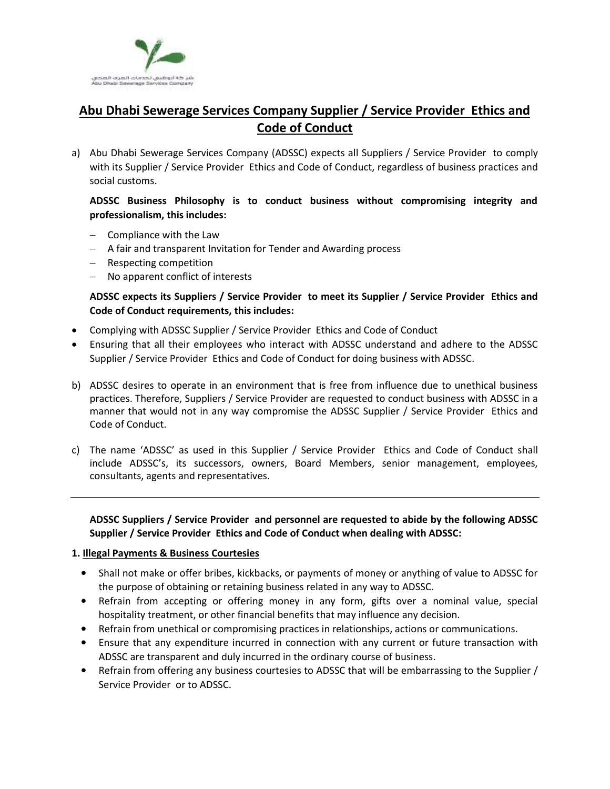

# **Abu Dhabi Sewerage Services Company Supplier / Service Provider Ethics and Code of Conduct**

a) Abu Dhabi Sewerage Services Company (ADSSC) expects all Suppliers / Service Provider to comply with its Supplier / Service Provider Ethics and Code of Conduct, regardless of business practices and social customs.

**ADSSC Business Philosophy is to conduct business without compromising integrity and professionalism, this includes:** 

- $-$  Compliance with the Law
- A fair and transparent Invitation for Tender and Awarding process
- Respecting competition
- No apparent conflict of interests

# **ADSSC expects its Suppliers / Service Provider to meet its Supplier / Service Provider Ethics and Code of Conduct requirements, this includes:**

- Complying with ADSSC Supplier / Service Provider Ethics and Code of Conduct
- Ensuring that all their employees who interact with ADSSC understand and adhere to the ADSSC Supplier / Service Provider Ethics and Code of Conduct for doing business with ADSSC.
- b) ADSSC desires to operate in an environment that is free from influence due to unethical business practices. Therefore, Suppliers / Service Provider are requested to conduct business with ADSSC in a manner that would not in any way compromise the ADSSC Supplier / Service Provider Ethics and Code of Conduct.
- c) The name 'ADSSC' as used in this Supplier / Service Provider Ethics and Code of Conduct shall include ADSSC's, its successors, owners, Board Members, senior management, employees, consultants, agents and representatives.

**ADSSC Suppliers / Service Provider and personnel are requested to abide by the following ADSSC Supplier / Service Provider Ethics and Code of Conduct when dealing with ADSSC:** 

## **1. Illegal Payments & Business Courtesies**

- Shall not make or offer bribes, kickbacks, or payments of money or anything of value to ADSSC for the purpose of obtaining or retaining business related in any way to ADSSC.
- Refrain from accepting or offering money in any form, gifts over a nominal value, special hospitality treatment, or other financial benefits that may influence any decision.
- Refrain from unethical or compromising practices in relationships, actions or communications.
- Ensure that any expenditure incurred in connection with any current or future transaction with ADSSC are transparent and duly incurred in the ordinary course of business.
- Refrain from offering any business courtesies to ADSSC that will be embarrassing to the Supplier / Service Provider or to ADSSC.